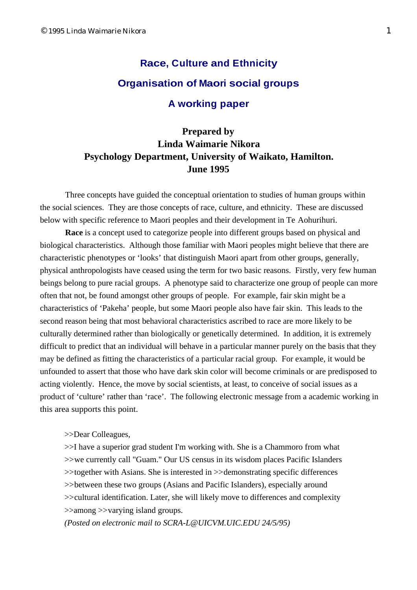## **Race, Culture and Ethnicity Organisation of Maori social groups A working paper**

## **Prepared by Linda Waimarie Nikora Psychology Department, University of Waikato, Hamilton. June 1995**

Three concepts have guided the conceptual orientation to studies of human groups within the social sciences. They are those concepts of race, culture, and ethnicity. These are discussed below with specific reference to Maori peoples and their development in Te Aohurihuri.

**Race** is a concept used to categorize people into different groups based on physical and biological characteristics. Although those familiar with Maori peoples might believe that there are characteristic phenotypes or 'looks' that distinguish Maori apart from other groups, generally, physical anthropologists have ceased using the term for two basic reasons. Firstly, very few human beings belong to pure racial groups. A phenotype said to characterize one group of people can more often that not, be found amongst other groups of people. For example, fair skin might be a characteristics of 'Pakeha' people, but some Maori people also have fair skin. This leads to the second reason being that most behavioral characteristics ascribed to race are more likely to be culturally determined rather than biologically or genetically determined. In addition, it is extremely difficult to predict that an individual will behave in a particular manner purely on the basis that they may be defined as fitting the characteristics of a particular racial group. For example, it would be unfounded to assert that those who have dark skin color will become criminals or are predisposed to acting violently. Hence, the move by social scientists, at least, to conceive of social issues as a product of 'culture' rather than 'race'. The following electronic message from a academic working in this area supports this point.

>>Dear Colleagues,

>>I have a superior grad student I'm working with. She is a Chammoro from what >>we currently call "Guam." Our US census in its wisdom places Pacific Islanders >>together with Asians. She is interested in >>demonstrating specific differences >>between these two groups (Asians and Pacific Islanders), especially around >>cultural identification. Later, she will likely move to differences and complexity >>among >>varying island groups.

*(Posted on electronic mail to [SCRA-L@UICVM.UIC.EDU](mailto:SCRA-L@UICVM.UIC.EDU) 24/5/95)*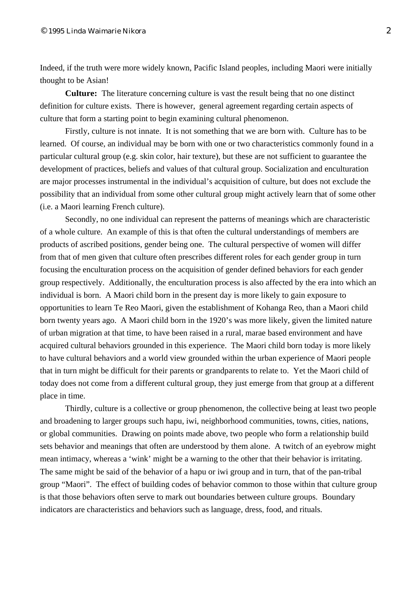Indeed, if the truth were more widely known, Pacific Island peoples, including Maori were initially thought to be Asian!

**Culture:** The literature concerning culture is vast the result being that no one distinct definition for culture exists. There is however, general agreement regarding certain aspects of culture that form a starting point to begin examining cultural phenomenon.

Firstly, culture is not innate. It is not something that we are born with. Culture has to be learned. Of course, an individual may be born with one or two characteristics commonly found in a particular cultural group (e.g. skin color, hair texture), but these are not sufficient to guarantee the development of practices, beliefs and values of that cultural group. Socialization and enculturation are major processes instrumental in the individual's acquisition of culture, but does not exclude the possibility that an individual from some other cultural group might actively learn that of some other (i.e. a Maori learning French culture).

Secondly, no one individual can represent the patterns of meanings which are characteristic of a whole culture. An example of this is that often the cultural understandings of members are products of ascribed positions, gender being one. The cultural perspective of women will differ from that of men given that culture often prescribes different roles for each gender group in turn focusing the enculturation process on the acquisition of gender defined behaviors for each gender group respectively. Additionally, the enculturation process is also affected by the era into which an individual is born. A Maori child born in the present day is more likely to gain exposure to opportunities to learn Te Reo Maori, given the establishment of Kohanga Reo, than a Maori child born twenty years ago. A Maori child born in the 1920's was more likely, given the limited nature of urban migration at that time, to have been raised in a rural, marae based environment and have acquired cultural behaviors grounded in this experience. The Maori child born today is more likely to have cultural behaviors and a world view grounded within the urban experience of Maori people that in turn might be difficult for their parents or grandparents to relate to. Yet the Maori child of today does not come from a different cultural group, they just emerge from that group at a different place in time.

Thirdly, culture is a collective or group phenomenon, the collective being at least two people and broadening to larger groups such hapu, iwi, neighborhood communities, towns, cities, nations, or global communities. Drawing on points made above, two people who form a relationship build sets behavior and meanings that often are understood by them alone. A twitch of an eyebrow might mean intimacy, whereas a 'wink' might be a warning to the other that their behavior is irritating. The same might be said of the behavior of a hapu or iwi group and in turn, that of the pan-tribal group "Maori". The effect of building codes of behavior common to those within that culture group is that those behaviors often serve to mark out boundaries between culture groups. Boundary indicators are characteristics and behaviors such as language, dress, food, and rituals.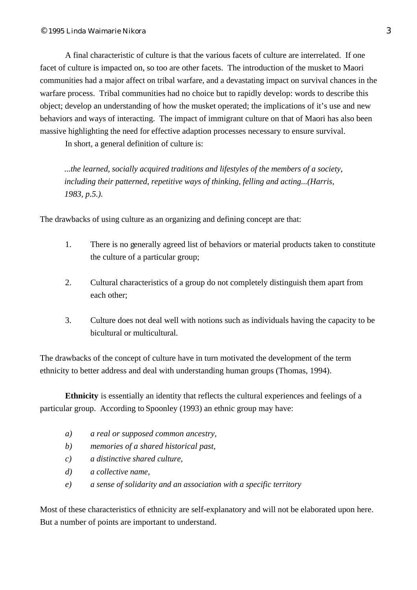A final characteristic of culture is that the various facets of culture are interrelated. If one facet of culture is impacted on, so too are other facets. The introduction of the musket to Maori communities had a major affect on tribal warfare, and a devastating impact on survival chances in the warfare process. Tribal communities had no choice but to rapidly develop: words to describe this object; develop an understanding of how the musket operated; the implications of it's use and new behaviors and ways of interacting. The impact of immigrant culture on that of Maori has also been massive highlighting the need for effective adaption processes necessary to ensure survival.

In short, a general definition of culture is:

*...the learned, socially acquired traditions and lifestyles of the members of a society, including their patterned, repetitive ways of thinking, felling and acting...(Harris, 1983, p.5.).*

The drawbacks of using culture as an organizing and defining concept are that:

- 1. There is no generally agreed list of behaviors or material products taken to constitute the culture of a particular group;
- 2. Cultural characteristics of a group do not completely distinguish them apart from each other;
- 3. Culture does not deal well with notions such as individuals having the capacity to be bicultural or multicultural.

The drawbacks of the concept of culture have in turn motivated the development of the term ethnicity to better address and deal with understanding human groups (Thomas, 1994).

**Ethnicity** is essentially an identity that reflects the cultural experiences and feelings of a particular group. According to Spoonley (1993) an ethnic group may have:

- *a) a real or supposed common ancestry,*
- *b) memories of a shared historical past,*
- *c) a distinctive shared culture,*
- *d) a collective name,*
- *e) a sense of solidarity and an association with a specific territory*

Most of these characteristics of ethnicity are self-explanatory and will not be elaborated upon here. But a number of points are important to understand.